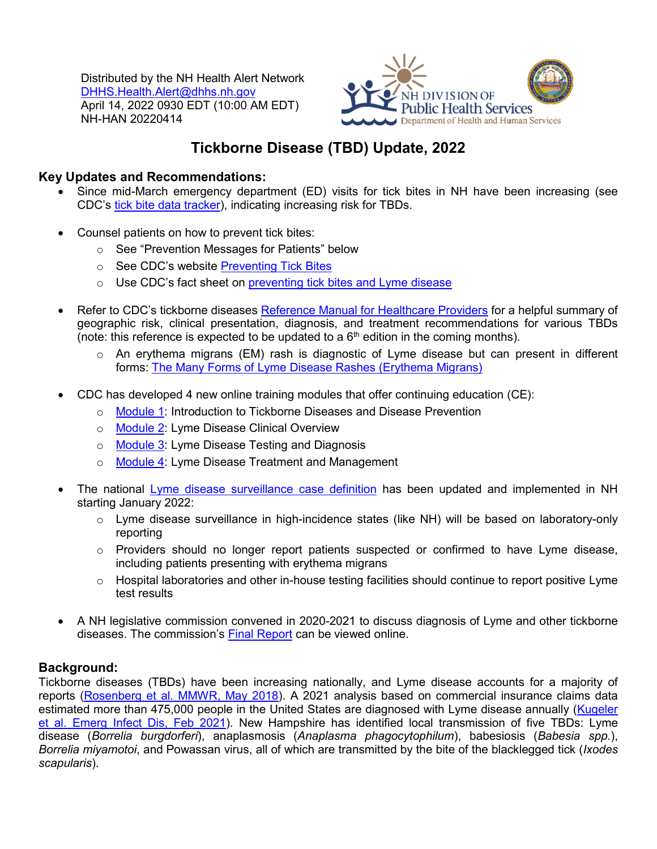Distributed by the NH Health Alert Network [DHHS.Health.Alert@dhhs.nh.gov](mailto:DHHS.Health.Alert@dhhs.nh.gov) April 14, 2022 0930 EDT (10:00 AM EDT) NH-HAN 20220414



# **Tickborne Disease (TBD) Update, 2022**

#### **Key Updates and Recommendations:**

- Since mid-March emergency department (ED) visits for tick bites in NH have been increasing (see CDC's [tick bite data tracker\)](https://www.cdc.gov/ticks/tickedvisits/index.html), indicating increasing risk for TBDs.
- Counsel patients on how to prevent tick bites:
	- o See "Prevention Messages for Patients" below
	- o See CDC's website [Preventing Tick Bites](https://www.cdc.gov/lyme/prev/index.html)
	- o Use CDC's fact sheet on [preventing tick bites and Lyme disease](https://www.cdc.gov/lyme/resources/toolkit/factsheets/Hooks_Ticks-and-Lyme-Disease-508.pdf)
- Refer to CDC's tickborne diseases [Reference Manual for Healthcare Providers](https://www.cdc.gov/ticks/tickbornediseases/TickborneDiseases-P.pdf) for a helpful summary of geographic risk, clinical presentation, diagnosis, and treatment recommendations for various TBDs (note: this reference is expected to be updated to a  $6<sup>th</sup>$  edition in the coming months).
	- o An erythema migrans (EM) rash is diagnostic of Lyme disease but can present in different forms: [The Many Forms of Lyme Disease Rashes \(Erythema Migrans\)](https://www.cdc.gov/lyme/resources/NCEZID_rash_poster3r1-508.pdf)
- CDC has developed 4 new online training modules that offer continuing education (CE):
	- o [Module 1:](https://www.train.org/cdctrain/course/1093558/) Introduction to Tickborne Diseases and Disease Prevention
	- o [Module 2:](https://www.train.org/cdctrain/course/1093559/) Lyme Disease Clinical Overview
	- o [Module 3:](https://www.train.org/cdctrain/course/1093562/) Lyme Disease Testing and Diagnosis
	- o [Module 4:](https://www.train.org/cdctrain/course/1093563/) Lyme Disease Treatment and Management
- The national [Lyme disease surveillance case definition](https://ndc.services.cdc.gov/case-definitions/lyme-disease-2022/) has been updated and implemented in NH starting January 2022:
	- o Lyme disease surveillance in high-incidence states (like NH) will be based on laboratory-only reporting
	- $\circ$  Providers should no longer report patients suspected or confirmed to have Lyme disease, including patients presenting with erythema migrans
	- $\circ$  Hospital laboratories and other in-house testing facilities should continue to report positive Lyme test results
- A NH legislative commission convened in 2020-2021 to discuss diagnosis of Lyme and other tickborne diseases. The commission's [Final Report](http://www.gencourt.state.nh.us/statstudcomm/committees/1515/reports/RSA%20141-C%20Lyme%20Commission%20Study.pdf) can be viewed online.

## **Background:**

Tickborne diseases (TBDs) have been increasing nationally, and Lyme disease accounts for a majority of reports [\(Rosenberg et al. MMWR, May](https://www.cdc.gov/mmwr/volumes/67/wr/mm6717e1.htm) 2018). A 2021 analysis based on commercial insurance claims data estimated more than 475,000 people in the United States are diagnosed with Lyme disease annually (Kugeler [et al. Emerg Infect Dis,](https://wwwnc.cdc.gov/eid/article/27/2/20-2731_article) Feb 2021). New Hampshire has identified local transmission of five TBDs: Lyme disease (*Borrelia burgdorferi*), anaplasmosis (*Anaplasma phagocytophilum*), babesiosis (*Babesia spp.*), *Borrelia miyamotoi*, and Powassan virus, all of which are transmitted by the bite of the blacklegged tick (*Ixodes scapularis*).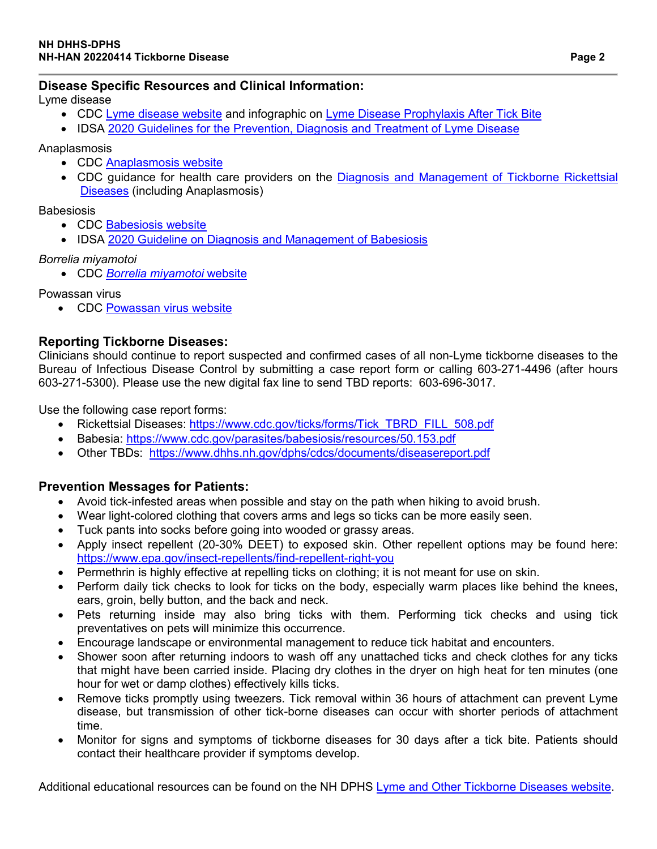#### **Disease Specific Resources and Clinical Information:**

Lyme disease

- CDC [Lyme disease website](https://www.cdc.gov/lyme/index.html) and infographic on [Lyme Disease Prophylaxis After Tick Bite](https://www.cdc.gov/lyme/resources/pdfs/lyme-pep-aid_digital-508.pdf)
- IDSA [2020 Guidelines for the Prevention, Diagnosis and Treatment of Lyme Disease](https://www.idsociety.org/practice-guideline/lyme-disease/)

Anaplasmosis

- CDC [Anaplasmosis website](https://www.cdc.gov/anaplasmosis/index.html)
- CDC guidance for health care providers on the [Diagnosis and Management of Tickborne Rickettsial](https://www.cdc.gov/mmwr/volumes/65/rr/pdfs/rr6502.pdf)  [Diseases](https://www.cdc.gov/mmwr/volumes/65/rr/pdfs/rr6502.pdf) (including Anaplasmosis)

**Babesiosis** 

- CDC [Babesiosis website](https://www.cdc.gov/parasites/babesiosis/)
- IDSA [2020 Guideline on Diagnosis and Management](https://www.idsociety.org/practice-guideline/babesiosis/) of Babesiosis

#### *Borrelia miyamotoi*

• CDC *[Borrelia miyamotoi](https://www.cdc.gov/relapsing-fever/miyamotoi/index.html)* website

Powassan virus

• CDC [Powassan virus website](https://www.cdc.gov/powassan/index.html)

### **Reporting Tickborne Diseases:**

Clinicians should continue to report suspected and confirmed cases of all non-Lyme tickborne diseases to the Bureau of Infectious Disease Control by submitting a case report form or calling 603-271-4496 (after hours 603-271-5300). Please use the new digital fax line to send TBD reports: 603-696-3017.

Use the following case report forms:

- Rickettsial Diseases: [https://www.cdc.gov/ticks/forms/Tick\\_TBRD\\_FILL\\_508.pdf](https://www.cdc.gov/ticks/forms/Tick_TBRD_FILL_508.pdf)
- Babesia:<https://www.cdc.gov/parasites/babesiosis/resources/50.153.pdf>
- Other TBDs: <https://www.dhhs.nh.gov/dphs/cdcs/documents/diseasereport.pdf>

#### **Prevention Messages for Patients:**

- Avoid tick-infested areas when possible and stay on the path when hiking to avoid brush.
- Wear light-colored clothing that covers arms and legs so ticks can be more easily seen.
- Tuck pants into socks before going into wooded or grassy areas.
- Apply insect repellent (20-30% DEET) to exposed skin. Other repellent options may be found here: <https://www.epa.gov/insect-repellents/find-repellent-right-you>
- Permethrin is highly effective at repelling ticks on clothing; it is not meant for use on skin.
- Perform daily tick checks to look for ticks on the body, especially warm places like behind the knees, ears, groin, belly button, and the back and neck.
- Pets returning inside may also bring ticks with them. Performing tick checks and using tick preventatives on pets will minimize this occurrence.
- Encourage landscape or environmental management to reduce tick habitat and encounters.
- Shower soon after returning indoors to wash off any unattached ticks and check clothes for any ticks that might have been carried inside. Placing dry clothes in the dryer on high heat for ten minutes (one hour for wet or damp clothes) effectively kills ticks.
- Remove ticks promptly using tweezers. Tick removal within 36 hours of attachment can prevent Lyme disease, but transmission of other tick-borne diseases can occur with shorter periods of attachment time.
- Monitor for signs and symptoms of tickborne diseases for 30 days after a tick bite. Patients should contact their healthcare provider if symptoms develop.

Additional educational resources can be found on the NH DPHS [Lyme and Other Tickborne Diseases website.](https://www.dhhs.nh.gov/dphs/cdcs/lyme/publications.htm?)